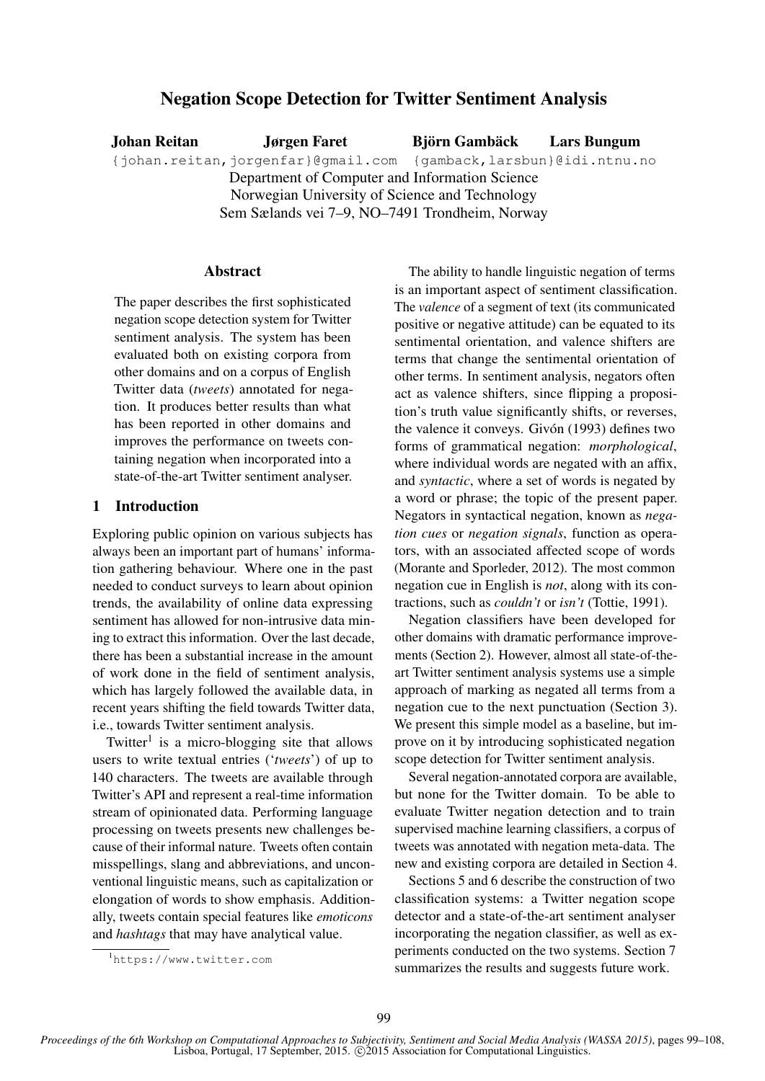# Negation Scope Detection for Twitter Sentiment Analysis

Johan Reitan Jørgen Faret Björn Gambäck Lars Bungum {johan.reitan,jorgenfar}@gmail.com {gamback,larsbun}@idi.ntnu.no Department of Computer and Information Science Norwegian University of Science and Technology Sem Sælands vei 7–9, NO–7491 Trondheim, Norway

## Abstract

The paper describes the first sophisticated negation scope detection system for Twitter sentiment analysis. The system has been evaluated both on existing corpora from other domains and on a corpus of English Twitter data (*tweets*) annotated for negation. It produces better results than what has been reported in other domains and improves the performance on tweets containing negation when incorporated into a state-of-the-art Twitter sentiment analyser.

# 1 Introduction

Exploring public opinion on various subjects has always been an important part of humans' information gathering behaviour. Where one in the past needed to conduct surveys to learn about opinion trends, the availability of online data expressing sentiment has allowed for non-intrusive data mining to extract this information. Over the last decade, there has been a substantial increase in the amount of work done in the field of sentiment analysis, which has largely followed the available data, in recent years shifting the field towards Twitter data, i.e., towards Twitter sentiment analysis.

Twitter<sup>1</sup> is a micro-blogging site that allows users to write textual entries ('*tweets*') of up to 140 characters. The tweets are available through Twitter's API and represent a real-time information stream of opinionated data. Performing language processing on tweets presents new challenges because of their informal nature. Tweets often contain misspellings, slang and abbreviations, and unconventional linguistic means, such as capitalization or elongation of words to show emphasis. Additionally, tweets contain special features like *emoticons* and *hashtags* that may have analytical value.

The ability to handle linguistic negation of terms is an important aspect of sentiment classification. The *valence* of a segment of text (its communicated positive or negative attitude) can be equated to its sentimental orientation, and valence shifters are terms that change the sentimental orientation of other terms. In sentiment analysis, negators often act as valence shifters, since flipping a proposition's truth value significantly shifts, or reverses, the valence it conveys. Givón (1993) defines two forms of grammatical negation: *morphological*, where individual words are negated with an affix, and *syntactic*, where a set of words is negated by a word or phrase; the topic of the present paper. Negators in syntactical negation, known as *negation cues* or *negation signals*, function as operators, with an associated affected scope of words (Morante and Sporleder, 2012). The most common negation cue in English is *not*, along with its contractions, such as *couldn't* or *isn't* (Tottie, 1991).

Negation classifiers have been developed for other domains with dramatic performance improvements (Section 2). However, almost all state-of-theart Twitter sentiment analysis systems use a simple approach of marking as negated all terms from a negation cue to the next punctuation (Section 3). We present this simple model as a baseline, but improve on it by introducing sophisticated negation scope detection for Twitter sentiment analysis.

Several negation-annotated corpora are available, but none for the Twitter domain. To be able to evaluate Twitter negation detection and to train supervised machine learning classifiers, a corpus of tweets was annotated with negation meta-data. The new and existing corpora are detailed in Section 4.

Sections 5 and 6 describe the construction of two classification systems: a Twitter negation scope detector and a state-of-the-art sentiment analyser incorporating the negation classifier, as well as experiments conducted on the two systems. Section 7 summarizes the results and suggests future work.

<sup>1</sup>https://www.twitter.com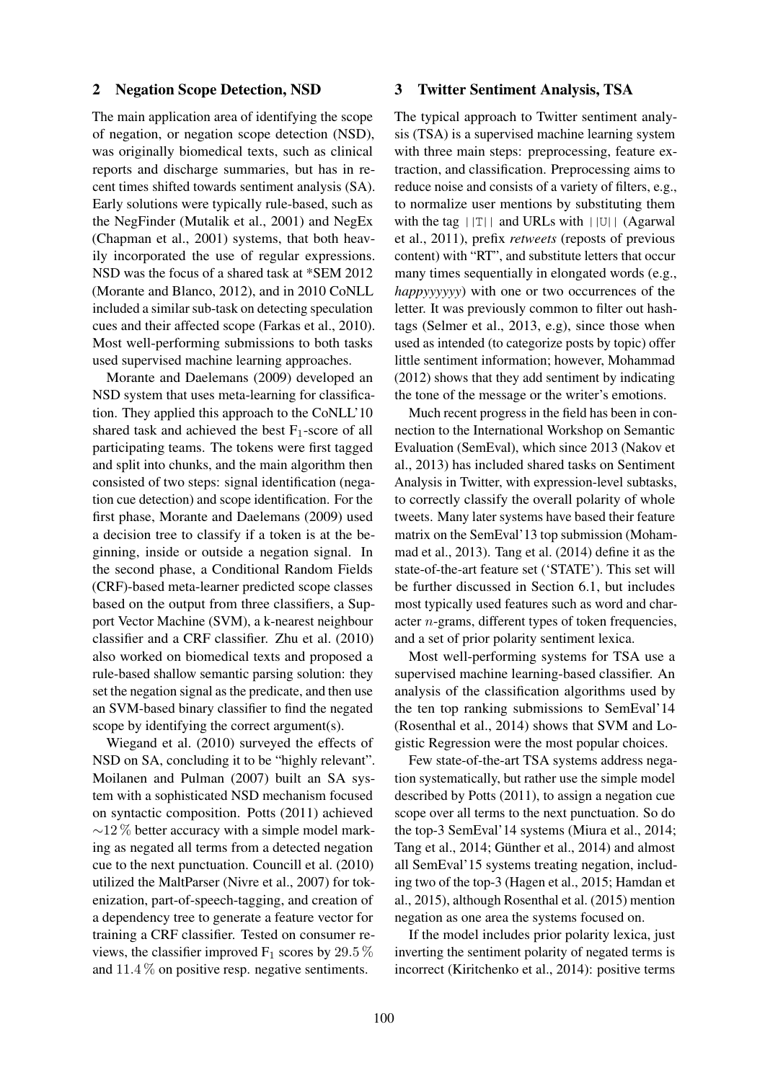## 2 Negation Scope Detection, NSD

The main application area of identifying the scope of negation, or negation scope detection (NSD), was originally biomedical texts, such as clinical reports and discharge summaries, but has in recent times shifted towards sentiment analysis (SA). Early solutions were typically rule-based, such as the NegFinder (Mutalik et al., 2001) and NegEx (Chapman et al., 2001) systems, that both heavily incorporated the use of regular expressions. NSD was the focus of a shared task at \*SEM 2012 (Morante and Blanco, 2012), and in 2010 CoNLL included a similar sub-task on detecting speculation cues and their affected scope (Farkas et al., 2010). Most well-performing submissions to both tasks used supervised machine learning approaches.

Morante and Daelemans (2009) developed an NSD system that uses meta-learning for classification. They applied this approach to the CoNLL'10 shared task and achieved the best  $F_1$ -score of all participating teams. The tokens were first tagged and split into chunks, and the main algorithm then consisted of two steps: signal identification (negation cue detection) and scope identification. For the first phase, Morante and Daelemans (2009) used a decision tree to classify if a token is at the beginning, inside or outside a negation signal. In the second phase, a Conditional Random Fields (CRF)-based meta-learner predicted scope classes based on the output from three classifiers, a Support Vector Machine (SVM), a k-nearest neighbour classifier and a CRF classifier. Zhu et al. (2010) also worked on biomedical texts and proposed a rule-based shallow semantic parsing solution: they set the negation signal as the predicate, and then use an SVM-based binary classifier to find the negated scope by identifying the correct argument(s).

Wiegand et al. (2010) surveyed the effects of NSD on SA, concluding it to be "highly relevant". Moilanen and Pulman (2007) built an SA system with a sophisticated NSD mechanism focused on syntactic composition. Potts (2011) achieved  $\sim$ 12 % better accuracy with a simple model marking as negated all terms from a detected negation cue to the next punctuation. Councill et al. (2010) utilized the MaltParser (Nivre et al., 2007) for tokenization, part-of-speech-tagging, and creation of a dependency tree to generate a feature vector for training a CRF classifier. Tested on consumer reviews, the classifier improved  $F_1$  scores by 29.5 % and 11.4 % on positive resp. negative sentiments.

#### 3 Twitter Sentiment Analysis, TSA

The typical approach to Twitter sentiment analysis (TSA) is a supervised machine learning system with three main steps: preprocessing, feature extraction, and classification. Preprocessing aims to reduce noise and consists of a variety of filters, e.g., to normalize user mentions by substituting them with the tag  $||T||$  and URLs with  $||U||$  (Agarwal et al., 2011), prefix *retweets* (reposts of previous content) with "RT", and substitute letters that occur many times sequentially in elongated words (e.g., *happyyyyyy*) with one or two occurrences of the letter. It was previously common to filter out hashtags (Selmer et al., 2013, e.g), since those when used as intended (to categorize posts by topic) offer little sentiment information; however, Mohammad (2012) shows that they add sentiment by indicating the tone of the message or the writer's emotions.

Much recent progress in the field has been in connection to the International Workshop on Semantic Evaluation (SemEval), which since 2013 (Nakov et al., 2013) has included shared tasks on Sentiment Analysis in Twitter, with expression-level subtasks, to correctly classify the overall polarity of whole tweets. Many later systems have based their feature matrix on the SemEval'13 top submission (Mohammad et al., 2013). Tang et al. (2014) define it as the state-of-the-art feature set ('STATE'). This set will be further discussed in Section 6.1, but includes most typically used features such as word and character n-grams, different types of token frequencies, and a set of prior polarity sentiment lexica.

Most well-performing systems for TSA use a supervised machine learning-based classifier. An analysis of the classification algorithms used by the ten top ranking submissions to SemEval'14 (Rosenthal et al., 2014) shows that SVM and Logistic Regression were the most popular choices.

Few state-of-the-art TSA systems address negation systematically, but rather use the simple model described by Potts (2011), to assign a negation cue scope over all terms to the next punctuation. So do the top-3 SemEval'14 systems (Miura et al., 2014; Tang et al., 2014; Günther et al., 2014) and almost all SemEval'15 systems treating negation, including two of the top-3 (Hagen et al., 2015; Hamdan et al., 2015), although Rosenthal et al. (2015) mention negation as one area the systems focused on.

If the model includes prior polarity lexica, just inverting the sentiment polarity of negated terms is incorrect (Kiritchenko et al., 2014): positive terms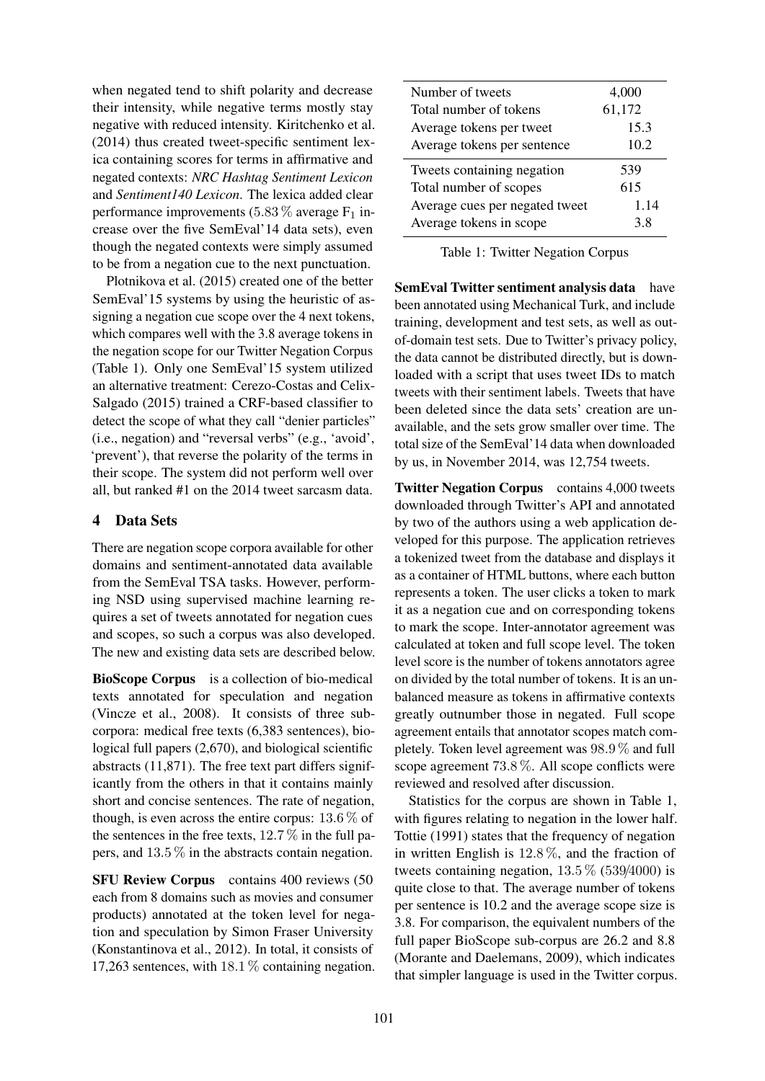when negated tend to shift polarity and decrease their intensity, while negative terms mostly stay negative with reduced intensity. Kiritchenko et al. (2014) thus created tweet-specific sentiment lexica containing scores for terms in affirmative and negated contexts: *NRC Hashtag Sentiment Lexicon* and *Sentiment140 Lexicon*. The lexica added clear performance improvements (5.83  $\%$  average F<sub>1</sub> increase over the five SemEval'14 data sets), even though the negated contexts were simply assumed to be from a negation cue to the next punctuation.

Plotnikova et al. (2015) created one of the better SemEval'15 systems by using the heuristic of assigning a negation cue scope over the 4 next tokens, which compares well with the 3.8 average tokens in the negation scope for our Twitter Negation Corpus (Table 1). Only one SemEval'15 system utilized an alternative treatment: Cerezo-Costas and Celix-Salgado (2015) trained a CRF-based classifier to detect the scope of what they call "denier particles" (i.e., negation) and "reversal verbs" (e.g., 'avoid', 'prevent'), that reverse the polarity of the terms in their scope. The system did not perform well over all, but ranked #1 on the 2014 tweet sarcasm data.

# 4 Data Sets

There are negation scope corpora available for other domains and sentiment-annotated data available from the SemEval TSA tasks. However, performing NSD using supervised machine learning requires a set of tweets annotated for negation cues and scopes, so such a corpus was also developed. The new and existing data sets are described below.

BioScope Corpus is a collection of bio-medical texts annotated for speculation and negation (Vincze et al., 2008). It consists of three subcorpora: medical free texts (6,383 sentences), biological full papers (2,670), and biological scientific abstracts (11,871). The free text part differs significantly from the others in that it contains mainly short and concise sentences. The rate of negation, though, is even across the entire corpus:  $13.6\%$  of the sentences in the free texts,  $12.7\%$  in the full papers, and 13.5 % in the abstracts contain negation.

SFU Review Corpus contains 400 reviews (50 each from 8 domains such as movies and consumer products) annotated at the token level for negation and speculation by Simon Fraser University (Konstantinova et al., 2012). In total, it consists of 17,263 sentences, with 18.1 % containing negation.

| Number of tweets               | 4,000  |
|--------------------------------|--------|
| Total number of tokens         | 61,172 |
| Average tokens per tweet       | 15.3   |
| Average tokens per sentence    | 10.2   |
| Tweets containing negation     | 539    |
| Total number of scopes         | 615    |
| Average cues per negated tweet | 1.14   |
| Average tokens in scope        | 38     |

Table 1: Twitter Negation Corpus

SemEval Twitter sentiment analysis data have been annotated using Mechanical Turk, and include training, development and test sets, as well as outof-domain test sets. Due to Twitter's privacy policy, the data cannot be distributed directly, but is downloaded with a script that uses tweet IDs to match tweets with their sentiment labels. Tweets that have been deleted since the data sets' creation are unavailable, and the sets grow smaller over time. The total size of the SemEval'14 data when downloaded by us, in November 2014, was 12,754 tweets.

Twitter Negation Corpus contains 4,000 tweets downloaded through Twitter's API and annotated by two of the authors using a web application developed for this purpose. The application retrieves a tokenized tweet from the database and displays it as a container of HTML buttons, where each button represents a token. The user clicks a token to mark it as a negation cue and on corresponding tokens to mark the scope. Inter-annotator agreement was calculated at token and full scope level. The token level score is the number of tokens annotators agree on divided by the total number of tokens. It is an unbalanced measure as tokens in affirmative contexts greatly outnumber those in negated. Full scope agreement entails that annotator scopes match completely. Token level agreement was 98.9 % and full scope agreement 73.8 %. All scope conflicts were reviewed and resolved after discussion.

Statistics for the corpus are shown in Table 1, with figures relating to negation in the lower half. Tottie (1991) states that the frequency of negation in written English is 12.8 %, and the fraction of tweets containing negation,  $13.5\%$  (539/4000) is quite close to that. The average number of tokens per sentence is 10.2 and the average scope size is 3.8. For comparison, the equivalent numbers of the full paper BioScope sub-corpus are 26.2 and 8.8 (Morante and Daelemans, 2009), which indicates that simpler language is used in the Twitter corpus.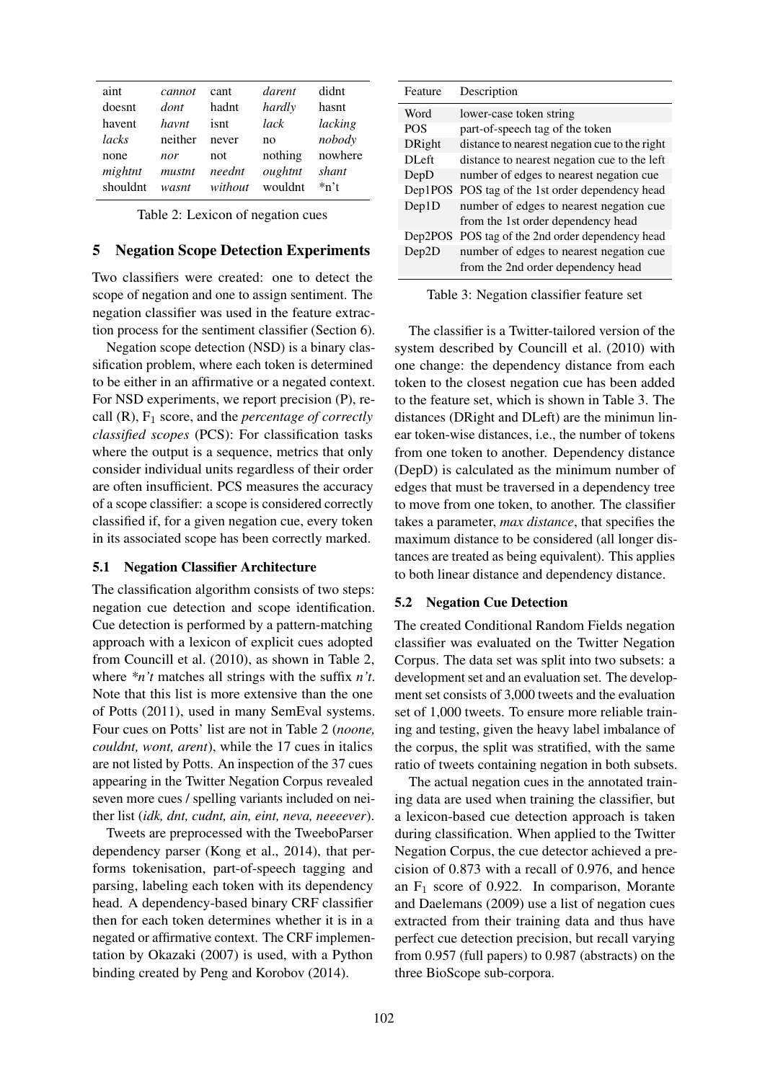| aint     | cannot  | cant    | darent  | didnt     |
|----------|---------|---------|---------|-----------|
| doesnt   | dont    | hadnt   | hardly  | hasnt     |
| havent   | havnt   | isnt    | lack    | lacking   |
| lacks    | neither | never   | no      | nobody    |
| none     | nor     | not     | nothing | nowhere   |
| mightnt  | mustnt  | neednt  | oughtnt | shant     |
| shouldnt | wasnt   | without | wouldnt | $*_{n't}$ |
|          |         |         |         |           |

Table 2: Lexicon of negation cues

#### 5 Negation Scope Detection Experiments

Two classifiers were created: one to detect the scope of negation and one to assign sentiment. The negation classifier was used in the feature extraction process for the sentiment classifier (Section 6).

Negation scope detection (NSD) is a binary classification problem, where each token is determined to be either in an affirmative or a negated context. For NSD experiments, we report precision (P), recall (R), F<sup>1</sup> score, and the *percentage of correctly classified scopes* (PCS): For classification tasks where the output is a sequence, metrics that only consider individual units regardless of their order are often insufficient. PCS measures the accuracy of a scope classifier: a scope is considered correctly classified if, for a given negation cue, every token in its associated scope has been correctly marked.

## 5.1 Negation Classifier Architecture

The classification algorithm consists of two steps: negation cue detection and scope identification. Cue detection is performed by a pattern-matching approach with a lexicon of explicit cues adopted from Councill et al. (2010), as shown in Table 2, where *\*n't* matches all strings with the suffix *n't*. Note that this list is more extensive than the one of Potts (2011), used in many SemEval systems. Four cues on Potts' list are not in Table 2 (*noone, couldnt, wont, arent*), while the 17 cues in italics are not listed by Potts. An inspection of the 37 cues appearing in the Twitter Negation Corpus revealed seven more cues / spelling variants included on neither list (*idk, dnt, cudnt, ain, eint, neva, neeeever*).

Tweets are preprocessed with the TweeboParser dependency parser (Kong et al., 2014), that performs tokenisation, part-of-speech tagging and parsing, labeling each token with its dependency head. A dependency-based binary CRF classifier then for each token determines whether it is in a negated or affirmative context. The CRF implementation by Okazaki (2007) is used, with a Python binding created by Peng and Korobov (2014).

| Description                                         |
|-----------------------------------------------------|
| lower-case token string                             |
| part-of-speech tag of the token                     |
| distance to nearest negation cue to the right       |
| distance to nearest negation cue to the left        |
| number of edges to nearest negation cue             |
| Dep1POS<br>POS tag of the 1st order dependency head |
| number of edges to nearest negation cue             |
| from the 1st order dependency head                  |
| POS tag of the 2nd order dependency head            |
| number of edges to nearest negation cue             |
| from the 2nd order dependency head                  |
|                                                     |

Table 3: Negation classifier feature set

The classifier is a Twitter-tailored version of the system described by Councill et al. (2010) with one change: the dependency distance from each token to the closest negation cue has been added to the feature set, which is shown in Table 3. The distances (DRight and DLeft) are the minimun linear token-wise distances, i.e., the number of tokens from one token to another. Dependency distance (DepD) is calculated as the minimum number of edges that must be traversed in a dependency tree to move from one token, to another. The classifier takes a parameter, *max distance*, that specifies the maximum distance to be considered (all longer distances are treated as being equivalent). This applies to both linear distance and dependency distance.

## 5.2 Negation Cue Detection

The created Conditional Random Fields negation classifier was evaluated on the Twitter Negation Corpus. The data set was split into two subsets: a development set and an evaluation set. The development set consists of 3,000 tweets and the evaluation set of 1,000 tweets. To ensure more reliable training and testing, given the heavy label imbalance of the corpus, the split was stratified, with the same ratio of tweets containing negation in both subsets.

The actual negation cues in the annotated training data are used when training the classifier, but a lexicon-based cue detection approach is taken during classification. When applied to the Twitter Negation Corpus, the cue detector achieved a precision of 0.873 with a recall of 0.976, and hence an  $F_1$  score of 0.922. In comparison, Morante and Daelemans (2009) use a list of negation cues extracted from their training data and thus have perfect cue detection precision, but recall varying from 0.957 (full papers) to 0.987 (abstracts) on the three BioScope sub-corpora.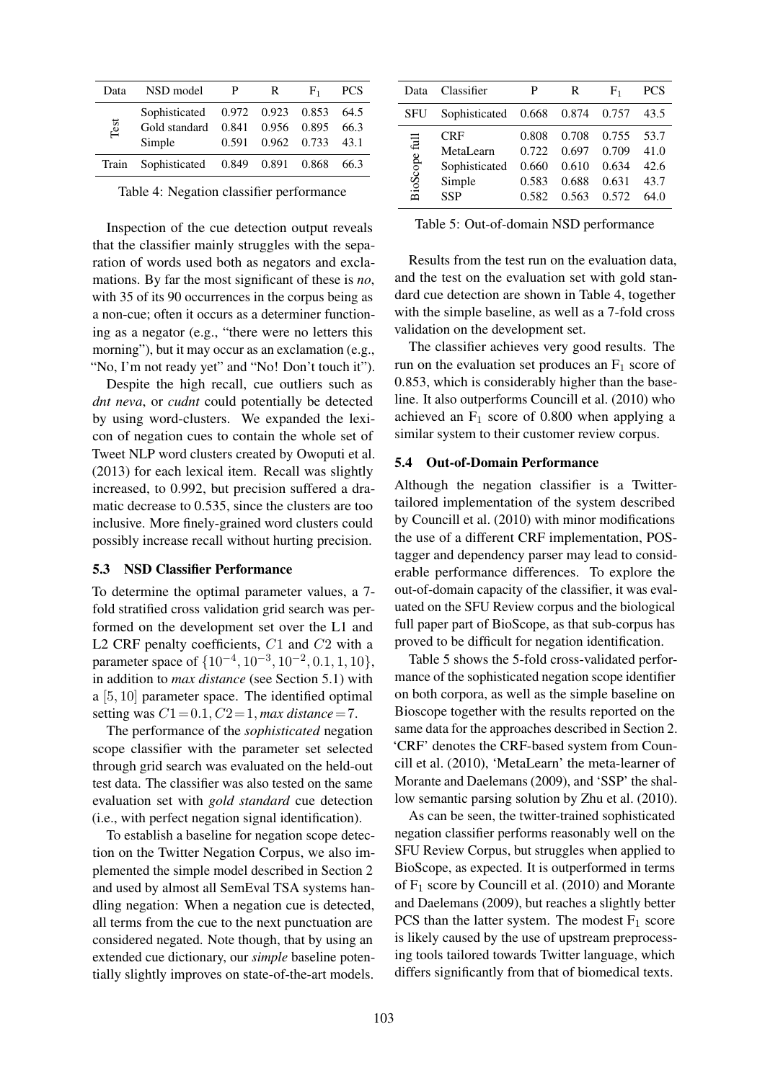| Data  | NSD model                            | $\mathbf{P}$ | $R_{\perp}$ | $F_{1}$                | <b>PCS</b> |
|-------|--------------------------------------|--------------|-------------|------------------------|------------|
|       | Sophisticated 0.972 0.923 0.853 64.5 |              |             |                        |            |
| Test  | Gold standard 0.841 0.956 0.895 66.3 |              |             |                        |            |
|       | Simple                               |              |             | 0.591 0.962 0.733 43.1 |            |
| Train | Sophisticated 0.849 0.891 0.868      |              |             |                        | 66.3       |
|       |                                      |              |             |                        |            |

Table 4: Negation classifier performance

Inspection of the cue detection output reveals that the classifier mainly struggles with the separation of words used both as negators and exclamations. By far the most significant of these is *no*, with 35 of its 90 occurrences in the corpus being as a non-cue; often it occurs as a determiner functioning as a negator (e.g., "there were no letters this morning"), but it may occur as an exclamation (e.g., "No, I'm not ready yet" and "No! Don't touch it").

Despite the high recall, cue outliers such as *dnt neva*, or *cudnt* could potentially be detected by using word-clusters. We expanded the lexicon of negation cues to contain the whole set of Tweet NLP word clusters created by Owoputi et al. (2013) for each lexical item. Recall was slightly increased, to 0.992, but precision suffered a dramatic decrease to 0.535, since the clusters are too inclusive. More finely-grained word clusters could possibly increase recall without hurting precision.

## 5.3 NSD Classifier Performance

To determine the optimal parameter values, a 7 fold stratified cross validation grid search was performed on the development set over the L1 and L2 CRF penalty coefficients,  $C1$  and  $C2$  with a parameter space of  $\{10^{-4}, 10^{-3}, 10^{-2}, 0.1, 1, 10\}$ , in addition to *max distance* (see Section 5.1) with a [5, 10] parameter space. The identified optimal setting was  $C1 = 0.1$ ,  $C2 = 1$ , *max distance* = 7.

The performance of the *sophisticated* negation scope classifier with the parameter set selected through grid search was evaluated on the held-out test data. The classifier was also tested on the same evaluation set with *gold standard* cue detection (i.e., with perfect negation signal identification).

To establish a baseline for negation scope detection on the Twitter Negation Corpus, we also implemented the simple model described in Section 2 and used by almost all SemEval TSA systems handling negation: When a negation cue is detected, all terms from the cue to the next punctuation are considered negated. Note though, that by using an extended cue dictionary, our *simple* baseline potentially slightly improves on state-of-the-art models.

| Data          | Classifier                                                | P                                         | R                                         | F <sub>1</sub>                            | <b>PCS</b>                           |
|---------------|-----------------------------------------------------------|-------------------------------------------|-------------------------------------------|-------------------------------------------|--------------------------------------|
| SFU           | Sophisticated                                             | 0.668                                     | 0.874                                     | 0.757                                     | 43.5                                 |
| BioScope full | CRF<br>MetaLearn<br>Sophisticated<br>Simple<br><b>SSP</b> | 0.808<br>0.722<br>0.660<br>0.583<br>0.582 | 0.708<br>0.697<br>0.610<br>0.688<br>0.563 | 0.755<br>0.709<br>0.634<br>0.631<br>0.572 | 53.7<br>41.0<br>42.6<br>43.7<br>64.0 |

Table 5: Out-of-domain NSD performance

Results from the test run on the evaluation data, and the test on the evaluation set with gold standard cue detection are shown in Table 4, together with the simple baseline, as well as a 7-fold cross validation on the development set.

The classifier achieves very good results. The run on the evaluation set produces an  $F_1$  score of 0.853, which is considerably higher than the baseline. It also outperforms Councill et al. (2010) who achieved an  $F_1$  score of 0.800 when applying a similar system to their customer review corpus.

## 5.4 Out-of-Domain Performance

Although the negation classifier is a Twittertailored implementation of the system described by Councill et al. (2010) with minor modifications the use of a different CRF implementation, POStagger and dependency parser may lead to considerable performance differences. To explore the out-of-domain capacity of the classifier, it was evaluated on the SFU Review corpus and the biological full paper part of BioScope, as that sub-corpus has proved to be difficult for negation identification.

Table 5 shows the 5-fold cross-validated performance of the sophisticated negation scope identifier on both corpora, as well as the simple baseline on Bioscope together with the results reported on the same data for the approaches described in Section 2. 'CRF' denotes the CRF-based system from Councill et al. (2010), 'MetaLearn' the meta-learner of Morante and Daelemans (2009), and 'SSP' the shallow semantic parsing solution by Zhu et al. (2010).

As can be seen, the twitter-trained sophisticated negation classifier performs reasonably well on the SFU Review Corpus, but struggles when applied to BioScope, as expected. It is outperformed in terms of  $F_1$  score by Councill et al. (2010) and Morante and Daelemans (2009), but reaches a slightly better PCS than the latter system. The modest  $F_1$  score is likely caused by the use of upstream preprocessing tools tailored towards Twitter language, which differs significantly from that of biomedical texts.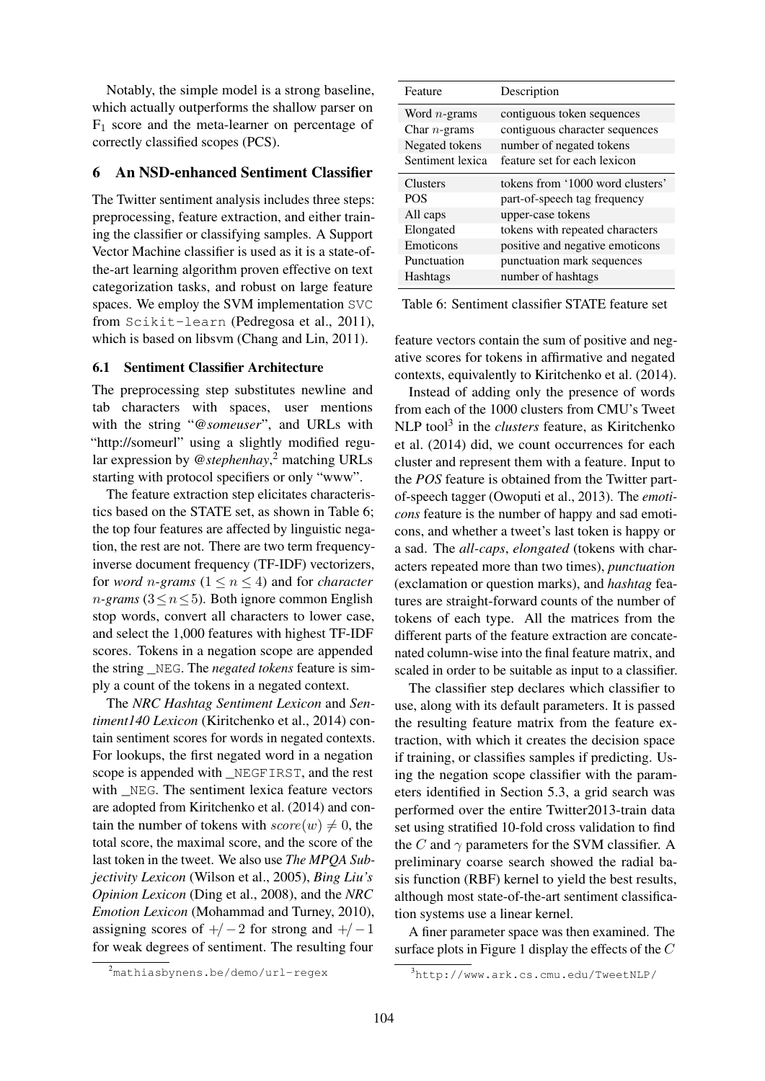Notably, the simple model is a strong baseline, which actually outperforms the shallow parser on  $F_1$  score and the meta-learner on percentage of correctly classified scopes (PCS).

## 6 An NSD-enhanced Sentiment Classifier

The Twitter sentiment analysis includes three steps: preprocessing, feature extraction, and either training the classifier or classifying samples. A Support Vector Machine classifier is used as it is a state-ofthe-art learning algorithm proven effective on text categorization tasks, and robust on large feature spaces. We employ the SVM implementation SVC from Scikit-learn (Pedregosa et al., 2011), which is based on libsvm (Chang and Lin, 2011).

## 6.1 Sentiment Classifier Architecture

The preprocessing step substitutes newline and tab characters with spaces, user mentions with the string "*@someuser*", and URLs with "http://someurl" using a slightly modified regular expression by *@stephenhay*, <sup>2</sup> matching URLs starting with protocol specifiers or only "www".

The feature extraction step elicitates characteristics based on the STATE set, as shown in Table 6; the top four features are affected by linguistic negation, the rest are not. There are two term frequencyinverse document frequency (TF-IDF) vectorizers, for *word n*-grams ( $1 \le n \le 4$ ) and for *character*  $n$ -grams (3 ≤  $n$  ≤ 5). Both ignore common English stop words, convert all characters to lower case, and select the 1,000 features with highest TF-IDF scores. Tokens in a negation scope are appended the string \_NEG. The *negated tokens* feature is simply a count of the tokens in a negated context.

The *NRC Hashtag Sentiment Lexicon* and *Sentiment140 Lexicon* (Kiritchenko et al., 2014) contain sentiment scores for words in negated contexts. For lookups, the first negated word in a negation scope is appended with \_NEGFIRST, and the rest with \_NEG. The sentiment lexica feature vectors are adopted from Kiritchenko et al. (2014) and contain the number of tokens with  $score(w) \neq 0$ , the total score, the maximal score, and the score of the last token in the tweet. We also use *The MPQA Subjectivity Lexicon* (Wilson et al., 2005), *Bing Liu's Opinion Lexicon* (Ding et al., 2008), and the *NRC Emotion Lexicon* (Mohammad and Turney, 2010), assigning scores of  $+/-2$  for strong and  $+/-1$ for weak degrees of sentiment. The resulting four

| Feature          | Description                      |
|------------------|----------------------------------|
| Word $n$ -grams  | contiguous token sequences       |
| Char $n$ -grams  | contiguous character sequences   |
| Negated tokens   | number of negated tokens         |
| Sentiment lexica | feature set for each lexicon     |
| <b>Clusters</b>  | tokens from '1000 word clusters' |
|                  |                                  |
| <b>POS</b>       | part-of-speech tag frequency     |
| All caps         | upper-case tokens                |
| Elongated        | tokens with repeated characters  |
| Emoticons        | positive and negative emoticons  |
| Punctuation      | punctuation mark sequences       |
| <b>Hashtags</b>  | number of hashtags               |

Table 6: Sentiment classifier STATE feature set

feature vectors contain the sum of positive and negative scores for tokens in affirmative and negated contexts, equivalently to Kiritchenko et al. (2014).

Instead of adding only the presence of words from each of the 1000 clusters from CMU's Tweet NLP tool<sup>3</sup> in the *clusters* feature, as Kiritchenko et al. (2014) did, we count occurrences for each cluster and represent them with a feature. Input to the *POS* feature is obtained from the Twitter partof-speech tagger (Owoputi et al., 2013). The *emoticons* feature is the number of happy and sad emoticons, and whether a tweet's last token is happy or a sad. The *all-caps*, *elongated* (tokens with characters repeated more than two times), *punctuation* (exclamation or question marks), and *hashtag* features are straight-forward counts of the number of tokens of each type. All the matrices from the different parts of the feature extraction are concatenated column-wise into the final feature matrix, and scaled in order to be suitable as input to a classifier.

The classifier step declares which classifier to use, along with its default parameters. It is passed the resulting feature matrix from the feature extraction, with which it creates the decision space if training, or classifies samples if predicting. Using the negation scope classifier with the parameters identified in Section 5.3, a grid search was performed over the entire Twitter2013-train data set using stratified 10-fold cross validation to find the C and  $\gamma$  parameters for the SVM classifier. A preliminary coarse search showed the radial basis function (RBF) kernel to yield the best results, although most state-of-the-art sentiment classification systems use a linear kernel.

A finer parameter space was then examined. The surface plots in Figure 1 display the effects of the  $C$ 

<sup>2</sup>mathiasbynens.be/demo/url-regex

<sup>3</sup>http://www.ark.cs.cmu.edu/TweetNLP/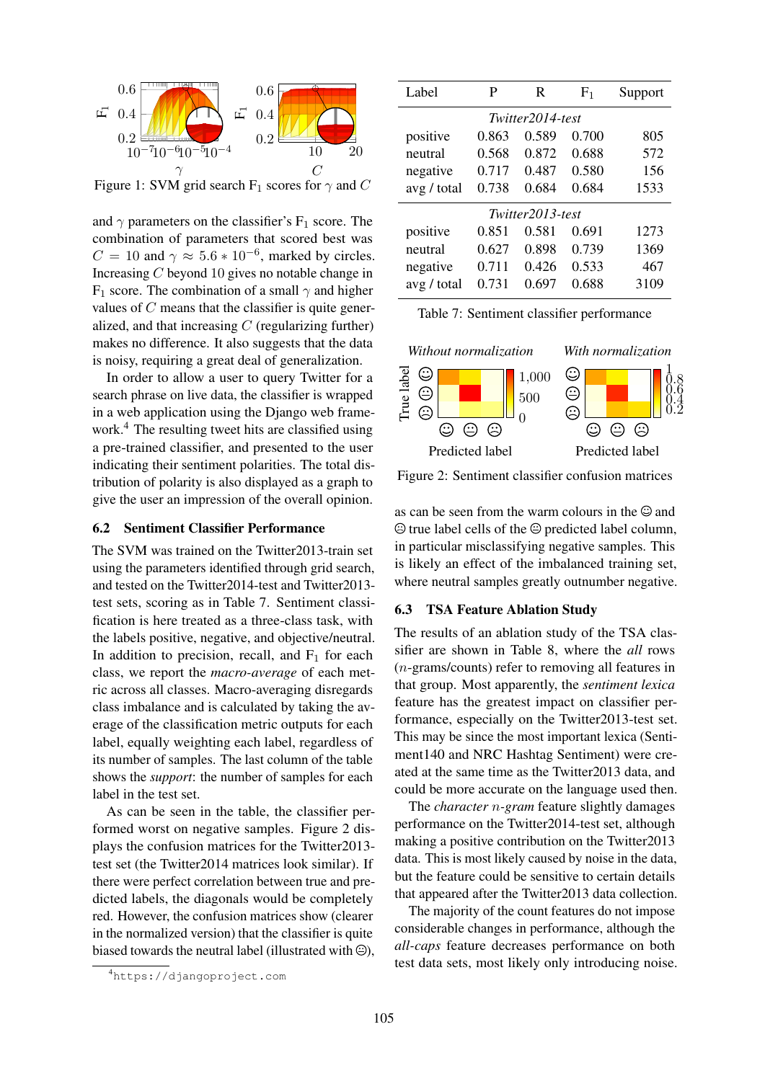

Figure 1: SVM grid search  $F_1$  scores for  $\gamma$  and C

and  $\gamma$  parameters on the classifier's F<sub>1</sub> score. The combination of parameters that scored best was  $C = 10$  and  $\gamma \approx 5.6 \times 10^{-6}$ , marked by circles. Increasing C beyond 10 gives no notable change in F<sub>1</sub> score. The combination of a small  $\gamma$  and higher values of C means that the classifier is quite generalized, and that increasing  $C$  (regularizing further) makes no difference. It also suggests that the data is noisy, requiring a great deal of generalization.

tribution of pc<br>give the user a<br>6.2 Sentime<br>The SVM was tribution of polarity is also displayed as a graph to<br>give the user an impression of the overall opinion.<br>**6.2 Sentiment Classifier Performance**<br>The SVM was trained on the Twitter2013-train set In order to allow a user to query Twitter for a search phrase on live data, the classifier is wrapped in a web application using the Django web framework.<sup>4</sup> The resulting tweet hits are classified using a pre-trained classifier, and presented to the user indicating their sentiment polarities. The total disgive the user an impression of the overall opinion.

## 6.2 Sentiment Classifier Performance

d on the<br>scoring<br>is here t<br>s positiv<br>on to p and tested on the Twitter2014-test and Twitter2013-test sets, scoring as in Table 7. Sentiment classi-<br>fication is here treated as a three-class task, with<br>the labels positive, negative, and objective/neutral.<br>In addition The SVM was trained on the Twitter2013-train set using the parameters identified through grid search, and tested on the Twitter2014-test and Twitter2013 test sets, scoring as in Table 7. Sentiment classification is here treated as a three-class task, with the labels positive, negative, and objective/neutral. class, we report the *macro-average* of each metric across all classes. Macro-averaging disregards class imbalance and is calculated by taking the average of the classification metric outputs for each label, equally weighting each label, regardless of its number of samples. The last column of the table shows the *support*: the number of samples for each label in the test set.

As can be seen in the table, the classifier performed worst on negative samples. Figure 2 displays the confusion matrices for the Twitter2013 test set (the Twitter2014 matrices look similar). If there were perfect correlation between true and predicted labels, the diagonals would be completely red. However, the confusion matrices show (clearer in the normalized version) that the classifier is quite biased towards the neutral label (illustrated with  $\Theta$ ),



| Label       | P                | R     | $F_1$ | Support |  |  |  |
|-------------|------------------|-------|-------|---------|--|--|--|
|             | Twitter2014-test |       |       |         |  |  |  |
| positive    | 0.863            | 0.589 | 0.700 | 805     |  |  |  |
| neutral     | 0.568            | 0.872 | 0.688 | 572     |  |  |  |
| negative    | 0.717            | 0.487 | 0.580 | 156     |  |  |  |
| avg / total | 0.738            | 0.684 | 0.684 | 1533    |  |  |  |
|             | Twitter2013-test |       |       |         |  |  |  |
| positive    | 0.851            | 0.581 | 0.691 | 1273    |  |  |  |
| neutral     | 0.627            | 0.898 | 0.739 | 1369    |  |  |  |
| negative    | 0.711            | 0.426 | 0.533 | 467     |  |  |  |
| avg / total | 0.731            | 0.697 | 0.688 | 3109    |  |  |  |

|  |  |  | Table 7: Sentiment classifier performance |
|--|--|--|-------------------------------------------|
|--|--|--|-------------------------------------------|



Figure 2: Sentiment classifier confusion matrices

9. a graph to<br>
all opinion.<br>
as can be seen<br>
as can be seen<br>  $\odot$  true label ce<br>
13-train set<br>
in particular minimized in the set The total dis-<br>
d as a graph to<br>
Figure 2: Sentiment classifier confusion<br>
verall opinion.<br>
as can be seen from the warm colours in<br>
ance<br>  $\bigcirc$  true label cells of the  $\bigcirc$  predicted label<br>  $\bigcirc$  and the  $\bigcirc$  predicted as can be seen from the warm colours in the  $\odot$  and  $\odot$  true label cells of the  $\odot$  predicted label column, in particular misclassifying negative samples. This is likely an effect of the imbalanced training set, where neutral samples greatly outnumber negative.

#### 6.3 TSA Feature Ablation Study

The results of an ablation study of the TSA classifier are shown in Table 8, where the *all* rows (n-grams/counts) refer to removing all features in that group. Most apparently, the *sentiment lexica* feature has the greatest impact on classifier performance, especially on the Twitter2013-test set. This may be since the most important lexica (Sentiment140 and NRC Hashtag Sentiment) were created at the same time as the Twitter2013 data, and could be more accurate on the language used then.

The *character* n*-gram* feature slightly damages performance on the Twitter2014-test set, although making a positive contribution on the Twitter2013 data. This is most likely caused by noise in the data, but the feature could be sensitive to certain details that appeared after the Twitter2013 data collection.

The majority of the count features do not impose considerable changes in performance, although the *all-caps* feature decreases performance on both test data sets, most likely only introducing noise.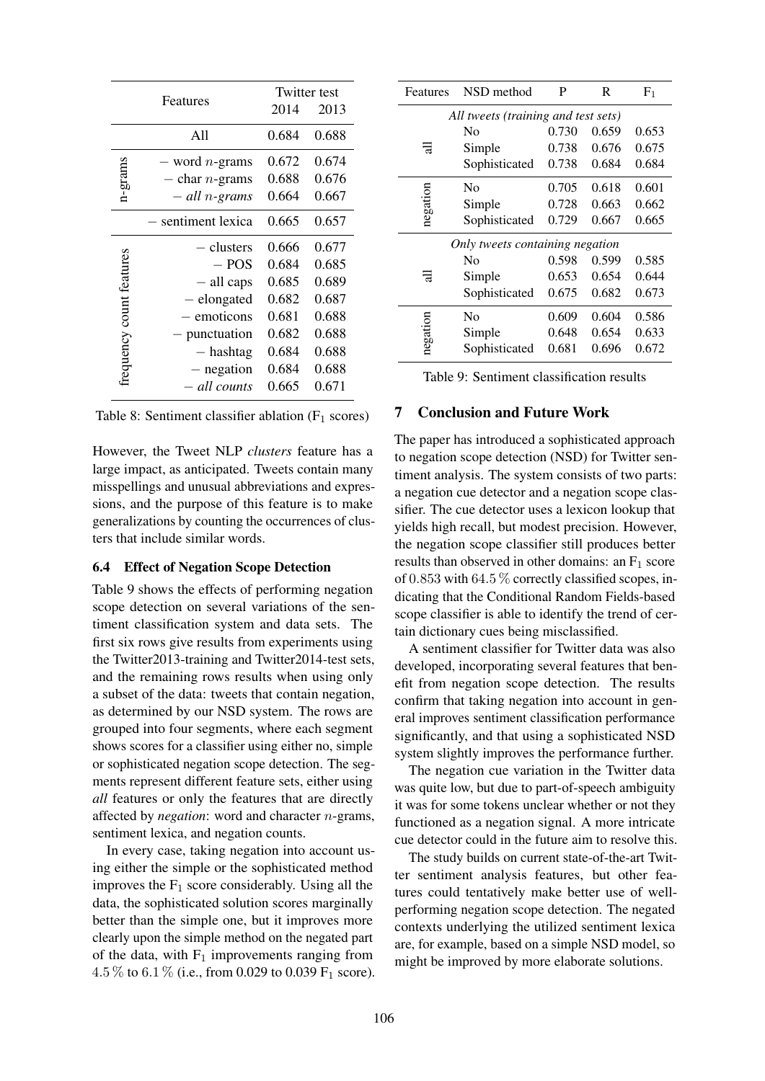| Features                |                          | Twitter test |       |  |
|-------------------------|--------------------------|--------------|-------|--|
|                         |                          |              | 2013  |  |
|                         | A11                      | 0.684        | 0.688 |  |
|                         | $-$ word <i>n</i> -grams | 0.672        | 0.674 |  |
| n-grams                 | $-$ char <i>n</i> -grams | 0.688        | 0.676 |  |
|                         | $-$ all n-grams          | 0.664        | 0.667 |  |
|                         | - sentiment lexica       | 0.665        | 0.657 |  |
|                         | — clusters               | 0.666        | 0.677 |  |
|                         | $-$ POS                  | 0.684        | 0.685 |  |
|                         | $-$ all caps             | 0.685        | 0.689 |  |
|                         | - elongated              | 0.682        | 0.687 |  |
|                         | emoticons                | 0.681        | 0.688 |  |
|                         | punctuation              | 0.682        | 0.688 |  |
| requency count features | $-$ hashtag              | 0.684        | 0.688 |  |
|                         | - negation               | 0.684        | 0.688 |  |
|                         | - all counts             | 0.665        | 0.671 |  |

Table 8: Sentiment classifier ablation  $(F_1 \text{ scores})$ 

However, the Tweet NLP *clusters* feature has a large impact, as anticipated. Tweets contain many misspellings and unusual abbreviations and expressions, and the purpose of this feature is to make generalizations by counting the occurrences of clusters that include similar words.

## 6.4 Effect of Negation Scope Detection

Table 9 shows the effects of performing negation scope detection on several variations of the sentiment classification system and data sets. The first six rows give results from experiments using the Twitter2013-training and Twitter2014-test sets, and the remaining rows results when using only a subset of the data: tweets that contain negation, as determined by our NSD system. The rows are grouped into four segments, where each segment shows scores for a classifier using either no, simple or sophisticated negation scope detection. The segments represent different feature sets, either using *all* features or only the features that are directly affected by *negation*: word and character n-grams, sentiment lexica, and negation counts.

In every case, taking negation into account using either the simple or the sophisticated method improves the  $F_1$  score considerably. Using all the data, the sophisticated solution scores marginally better than the simple one, but it improves more clearly upon the simple method on the negated part of the data, with  $F_1$  improvements ranging from 4.5 % to 6.1 % (i.e., from 0.029 to 0.039  $F_1$  score).

| Features                            | NSD method                      | P     | R     | F <sub>1</sub> |  |  |
|-------------------------------------|---------------------------------|-------|-------|----------------|--|--|
| All tweets (training and test sets) |                                 |       |       |                |  |  |
|                                     | Nο                              | 0.730 | 0.659 | 0.653          |  |  |
| ਜ਼                                  | Simple                          | 0.738 | 0.676 | 0.675          |  |  |
|                                     | Sophisticated                   | 0.738 | 0.684 | 0.684          |  |  |
|                                     | Nο                              | 0.705 | 0.618 | 0.601          |  |  |
| negation                            | Simple                          | 0.728 | 0.663 | 0.662          |  |  |
|                                     | Sophisticated                   | 0.729 | 0.667 | 0.665          |  |  |
|                                     | Only tweets containing negation |       |       |                |  |  |
|                                     | Nο                              | 0.598 | 0.599 | 0.585          |  |  |
| 귾                                   | Simple                          | 0.653 | 0.654 | 0.644          |  |  |
|                                     | Sophisticated                   | 0.675 | 0.682 | 0.673          |  |  |
|                                     | N <sub>0</sub>                  | 0.609 | 0.604 | 0.586          |  |  |
| negation                            | Simple                          | 0.648 | 0.654 | 0.633          |  |  |
|                                     | Sophisticated                   | 0.681 | 0.696 | 0.672          |  |  |

Table 9: Sentiment classification results

## 7 Conclusion and Future Work

The paper has introduced a sophisticated approach to negation scope detection (NSD) for Twitter sentiment analysis. The system consists of two parts: a negation cue detector and a negation scope classifier. The cue detector uses a lexicon lookup that yields high recall, but modest precision. However, the negation scope classifier still produces better results than observed in other domains: an  $F_1$  score of 0.853 with 64.5  $\%$  correctly classified scopes, indicating that the Conditional Random Fields-based scope classifier is able to identify the trend of certain dictionary cues being misclassified.

A sentiment classifier for Twitter data was also developed, incorporating several features that benefit from negation scope detection. The results confirm that taking negation into account in general improves sentiment classification performance significantly, and that using a sophisticated NSD system slightly improves the performance further.

The negation cue variation in the Twitter data was quite low, but due to part-of-speech ambiguity it was for some tokens unclear whether or not they functioned as a negation signal. A more intricate cue detector could in the future aim to resolve this.

The study builds on current state-of-the-art Twitter sentiment analysis features, but other features could tentatively make better use of wellperforming negation scope detection. The negated contexts underlying the utilized sentiment lexica are, for example, based on a simple NSD model, so might be improved by more elaborate solutions.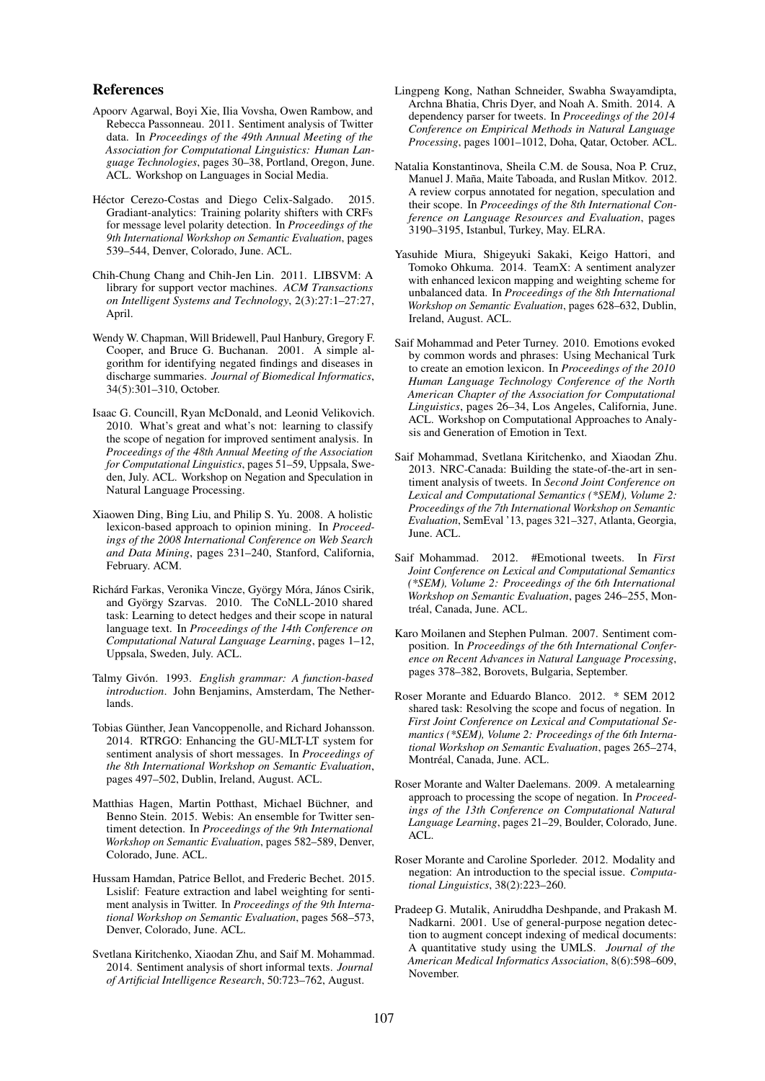#### References

- Apoorv Agarwal, Boyi Xie, Ilia Vovsha, Owen Rambow, and Rebecca Passonneau. 2011. Sentiment analysis of Twitter data. In *Proceedings of the 49th Annual Meeting of the Association for Computational Linguistics: Human Language Technologies*, pages 30–38, Portland, Oregon, June. ACL. Workshop on Languages in Social Media.
- Héctor Cerezo-Costas and Diego Celix-Salgado. 2015. Gradiant-analytics: Training polarity shifters with CRFs for message level polarity detection. In *Proceedings of the 9th International Workshop on Semantic Evaluation*, pages 539–544, Denver, Colorado, June. ACL.
- Chih-Chung Chang and Chih-Jen Lin. 2011. LIBSVM: A library for support vector machines. *ACM Transactions on Intelligent Systems and Technology*, 2(3):27:1–27:27, April.
- Wendy W. Chapman, Will Bridewell, Paul Hanbury, Gregory F. Cooper, and Bruce G. Buchanan. 2001. A simple algorithm for identifying negated findings and diseases in discharge summaries. *Journal of Biomedical Informatics*, 34(5):301–310, October.
- Isaac G. Councill, Ryan McDonald, and Leonid Velikovich. 2010. What's great and what's not: learning to classify the scope of negation for improved sentiment analysis. In *Proceedings of the 48th Annual Meeting of the Association for Computational Linguistics*, pages 51–59, Uppsala, Sweden, July. ACL. Workshop on Negation and Speculation in Natural Language Processing.
- Xiaowen Ding, Bing Liu, and Philip S. Yu. 2008. A holistic lexicon-based approach to opinion mining. In *Proceedings of the 2008 International Conference on Web Search and Data Mining*, pages 231–240, Stanford, California, February. ACM.
- Richárd Farkas, Veronika Vincze, György Móra, János Csirik, and György Szarvas. 2010. The CoNLL-2010 shared task: Learning to detect hedges and their scope in natural language text. In *Proceedings of the 14th Conference on Computational Natural Language Learning*, pages 1–12, Uppsala, Sweden, July. ACL.
- Talmy Givón. 1993. *English grammar: A function-based introduction*. John Benjamins, Amsterdam, The Netherlands.
- Tobias Günther, Jean Vancoppenolle, and Richard Johansson. 2014. RTRGO: Enhancing the GU-MLT-LT system for sentiment analysis of short messages. In *Proceedings of the 8th International Workshop on Semantic Evaluation*, pages 497–502, Dublin, Ireland, August. ACL.
- Matthias Hagen, Martin Potthast, Michael Büchner, and Benno Stein. 2015. Webis: An ensemble for Twitter sentiment detection. In *Proceedings of the 9th International Workshop on Semantic Evaluation*, pages 582–589, Denver, Colorado, June. ACL.
- Hussam Hamdan, Patrice Bellot, and Frederic Bechet. 2015. Lsislif: Feature extraction and label weighting for sentiment analysis in Twitter. In *Proceedings of the 9th International Workshop on Semantic Evaluation*, pages 568–573, Denver, Colorado, June. ACL.
- Svetlana Kiritchenko, Xiaodan Zhu, and Saif M. Mohammad. 2014. Sentiment analysis of short informal texts. *Journal of Artificial Intelligence Research*, 50:723–762, August.
- Lingpeng Kong, Nathan Schneider, Swabha Swayamdipta, Archna Bhatia, Chris Dyer, and Noah A. Smith. 2014. A dependency parser for tweets. In *Proceedings of the 2014 Conference on Empirical Methods in Natural Language Processing*, pages 1001–1012, Doha, Qatar, October. ACL.
- Natalia Konstantinova, Sheila C.M. de Sousa, Noa P. Cruz, Manuel J. Maña, Maite Taboada, and Ruslan Mitkov. 2012. A review corpus annotated for negation, speculation and their scope. In *Proceedings of the 8th International Conference on Language Resources and Evaluation*, pages 3190–3195, Istanbul, Turkey, May. ELRA.
- Yasuhide Miura, Shigeyuki Sakaki, Keigo Hattori, and Tomoko Ohkuma. 2014. TeamX: A sentiment analyzer with enhanced lexicon mapping and weighting scheme for unbalanced data. In *Proceedings of the 8th International Workshop on Semantic Evaluation*, pages 628–632, Dublin, Ireland, August. ACL.
- Saif Mohammad and Peter Turney. 2010. Emotions evoked by common words and phrases: Using Mechanical Turk to create an emotion lexicon. In *Proceedings of the 2010 Human Language Technology Conference of the North American Chapter of the Association for Computational Linguistics*, pages 26–34, Los Angeles, California, June. ACL. Workshop on Computational Approaches to Analysis and Generation of Emotion in Text.
- Saif Mohammad, Svetlana Kiritchenko, and Xiaodan Zhu. 2013. NRC-Canada: Building the state-of-the-art in sentiment analysis of tweets. In *Second Joint Conference on Lexical and Computational Semantics (\*SEM), Volume 2: Proceedings of the 7th International Workshop on Semantic Evaluation*, SemEval '13, pages 321–327, Atlanta, Georgia, June. ACL.
- Saif Mohammad. 2012. #Emotional tweets. In *First Joint Conference on Lexical and Computational Semantics (\*SEM), Volume 2: Proceedings of the 6th International Workshop on Semantic Evaluation*, pages 246–255, Montréal, Canada, June. ACL.
- Karo Moilanen and Stephen Pulman. 2007. Sentiment composition. In *Proceedings of the 6th International Conference on Recent Advances in Natural Language Processing*, pages 378–382, Borovets, Bulgaria, September.
- Roser Morante and Eduardo Blanco. 2012. \* SEM 2012 shared task: Resolving the scope and focus of negation. In *First Joint Conference on Lexical and Computational Semantics (\*SEM), Volume 2: Proceedings of the 6th International Workshop on Semantic Evaluation*, pages 265–274, Montréal, Canada, June. ACL.
- Roser Morante and Walter Daelemans. 2009. A metalearning approach to processing the scope of negation. In *Proceedings of the 13th Conference on Computational Natural Language Learning*, pages 21–29, Boulder, Colorado, June. ACL.
- Roser Morante and Caroline Sporleder. 2012. Modality and negation: An introduction to the special issue. *Computational Linguistics*, 38(2):223–260.
- Pradeep G. Mutalik, Aniruddha Deshpande, and Prakash M. Nadkarni. 2001. Use of general-purpose negation detection to augment concept indexing of medical documents: A quantitative study using the UMLS. *Journal of the American Medical Informatics Association*, 8(6):598–609, November.